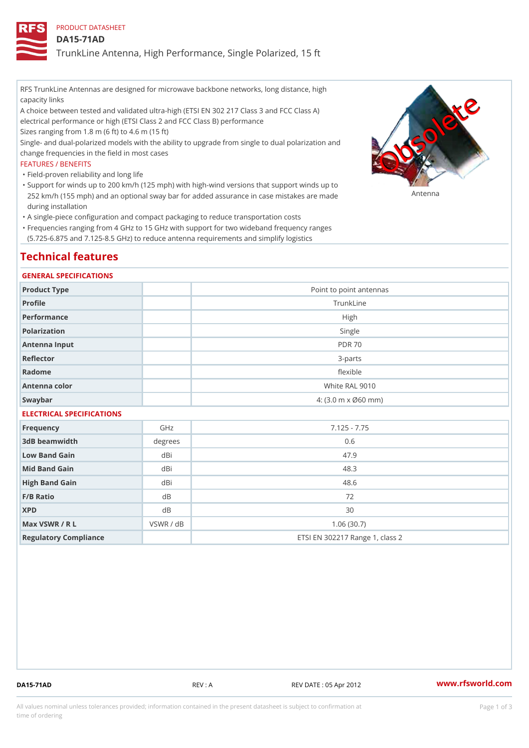PRODUCT DATASHEET

DA15-71AD

TrunkLine Antenna, High Performance, Single Polarized, 15 ft

RFS TrunkLine Antennas are designed for microwave backbone networks, long distance, high capacity links

A choice between tested and validated ultra-high (ETSI EN 302 217 Class 3 and FCC Class A) electrical performance or high (ETSI Class 2 and FCC Class B) performance

Sizes ranging from 1.8 m (6 ft) to 4.6 m (15 ft)

Single- and dual-polarized models with the ability to upgrade from single to dual polarization and change frequencies in the field in most cases

#### FEATURES / BENEFITS

"Field-proven reliability and long life

- Support for winds up to 200 km/h (125 mph) with high-wind versions that support winds up to " 252 km/h (155 mph) and an optional sway bar for added assurance in case m S # \$ R & B are made during installation
- "A single-piece configuration and compact packaging to reduce transportation costs
- Frequencies ranging from 4 GHz to 15 GHz with support for two wideband frequency ranges " (5.725-6.875 and 7.125-8.5 GHz) to reduce antenna requirements and simplify logistics

## Technical features

#### GENERAL SPECIFICATIONS

| Product Type              | Point to point antennas                                 |  |  |
|---------------------------|---------------------------------------------------------|--|--|
| Profile                   | TrunkLine                                               |  |  |
| Performance               | High                                                    |  |  |
| Polarization              | Single                                                  |  |  |
| Antenna Input             | <b>PDR 70</b>                                           |  |  |
| Reflector                 | $3 - p$ arts                                            |  |  |
| Radome                    | flexible                                                |  |  |
| Antenna color             | White RAL 9010                                          |  |  |
| Swaybar                   | $4: (3.0 \, \text{m} \times \emptyset 60 \, \text{mm})$ |  |  |
| ELECTRICAL SPECIFICATIONS |                                                         |  |  |

| Frequency             | GHz       | $7.125 - 7.75$                  |
|-----------------------|-----------|---------------------------------|
| 3dB beamwidth         | degrees   | 0.6                             |
| Low Band Gain         | dBi       | 47.9                            |
| Mid Band Gain         | dBi       | 48.3                            |
| High Band Gain        | dBi       | 48.6                            |
| $F/B$ Ratio           | d B       | 72                              |
| <b>XPD</b>            | d B       | 30                              |
| Max VSWR / R L        | VSWR / dB | 1.06(30.7)                      |
| Regulatory Compliance |           | ETSI EN 302217 Range 1, class 2 |

DA15-71AD REV : A REV DATE : 05 Apr 2012 [www.](https://www.rfsworld.com)rfsworld.com

All values nominal unless tolerances provided; information contained in the present datasheet is subject to Pcapgeign mation time of ordering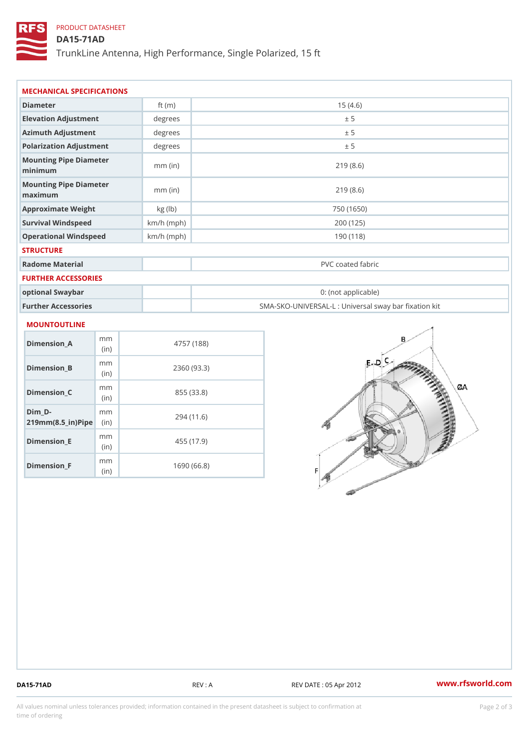### PRODUCT DATASHEET

DA15-71AD

TrunkLine Antenna, High Performance, Single Polarized, 15 ft

| Diameter                          | ft $(m)$     | 15(4.6)                                           |  |  |
|-----------------------------------|--------------|---------------------------------------------------|--|--|
| Elevation Adjustment              | degrees      | ± 5                                               |  |  |
| Azimuth Adjustment                | degrees      | ± 5                                               |  |  |
| Polarization Adjustment           | degree       | ± 5                                               |  |  |
| Mounting Pipe Diameter<br>minimum | $mm$ (in)    | 219(8.6)                                          |  |  |
| Mounting Pipe Diameter<br>maximum | $mm$ (in)    | 219(8.6)                                          |  |  |
| Approximate Weight                | kg (lb)      | 750 (1650)                                        |  |  |
| Survival Windspeed                | $km/h$ (mph) | 200 (125)                                         |  |  |
| Operational Windspeed             | $km/h$ (mph) | 190 (118)                                         |  |  |
| <b>STRUCTURE</b>                  |              |                                                   |  |  |
| Radome Material                   |              | PVC coated fabric                                 |  |  |
| FURTHER ACCESSORIES               |              |                                                   |  |  |
| optional Swaybar                  |              | 0: (not applicable)                               |  |  |
| Further Accessories               |              | SMA-SKO-UNIVERSAL-L : Universal sway bar fixation |  |  |

| Dimension A                               | m m<br>(i n) | 4757 (188)  |
|-------------------------------------------|--------------|-------------|
| Dimension_B                               | m m<br>(i n) | 2360 (93.3) |
| Dimension C                               | m m<br>(i n) | 855 (33.8)  |
| Dim D-<br>$219$ m m $(8.5$ ir $)$ P iip e | m m          | 294 (11.6)  |
| Dimension E                               | m m<br>(i n) | 455 (17.9)  |
| Dimension F                               | m m<br>(i n  | 1690 (66.8) |

DA15-71AD REV : A REV DATE : 05 Apr 2012 [www.](https://www.rfsworld.com)rfsworld.com